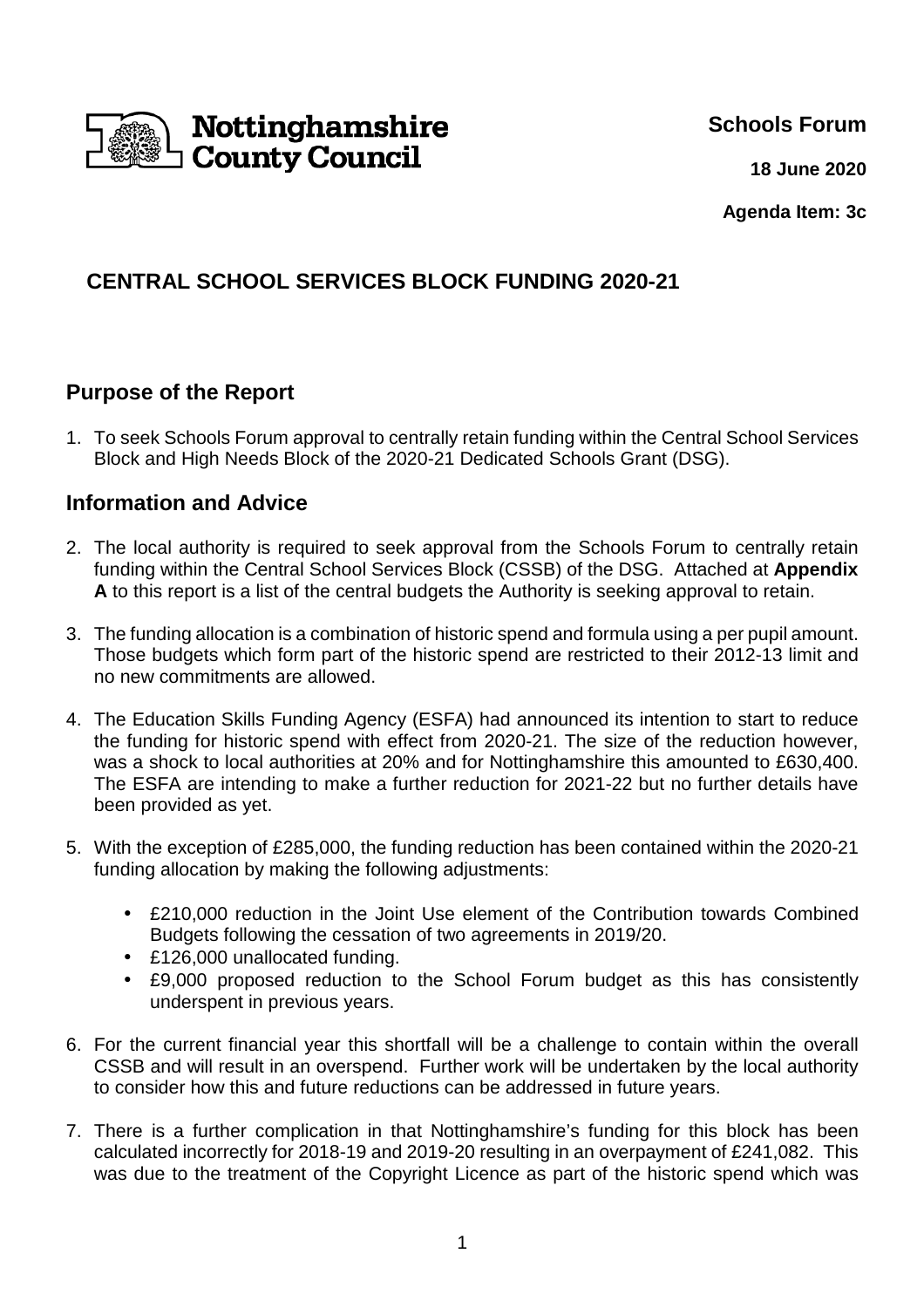

**Schools Forum**

**18 June 2020**

**Agenda Item: 3c**

# **CENTRAL SCHOOL SERVICES BLOCK FUNDING 2020-21**

## **Purpose of the Report**

1. To seek Schools Forum approval to centrally retain funding within the Central School Services Block and High Needs Block of the 2020-21 Dedicated Schools Grant (DSG).

### **Information and Advice**

- 2. The local authority is required to seek approval from the Schools Forum to centrally retain funding within the Central School Services Block (CSSB) of the DSG. Attached at **Appendix A** to this report is a list of the central budgets the Authority is seeking approval to retain.
- 3. The funding allocation is a combination of historic spend and formula using a per pupil amount. Those budgets which form part of the historic spend are restricted to their 2012-13 limit and no new commitments are allowed.
- 4. The Education Skills Funding Agency (ESFA) had announced its intention to start to reduce the funding for historic spend with effect from 2020-21. The size of the reduction however, was a shock to local authorities at 20% and for Nottinghamshire this amounted to £630,400. The ESFA are intending to make a further reduction for 2021-22 but no further details have been provided as yet.
- 5. With the exception of £285,000, the funding reduction has been contained within the 2020-21 funding allocation by making the following adjustments:
	- £210,000 reduction in the Joint Use element of the Contribution towards Combined Budgets following the cessation of two agreements in 2019/20.
	- £126,000 unallocated funding.
	- £9,000 proposed reduction to the School Forum budget as this has consistently underspent in previous years.
- 6. For the current financial year this shortfall will be a challenge to contain within the overall CSSB and will result in an overspend. Further work will be undertaken by the local authority to consider how this and future reductions can be addressed in future years.
- 7. There is a further complication in that Nottinghamshire's funding for this block has been calculated incorrectly for 2018-19 and 2019-20 resulting in an overpayment of £241,082. This was due to the treatment of the Copyright Licence as part of the historic spend which was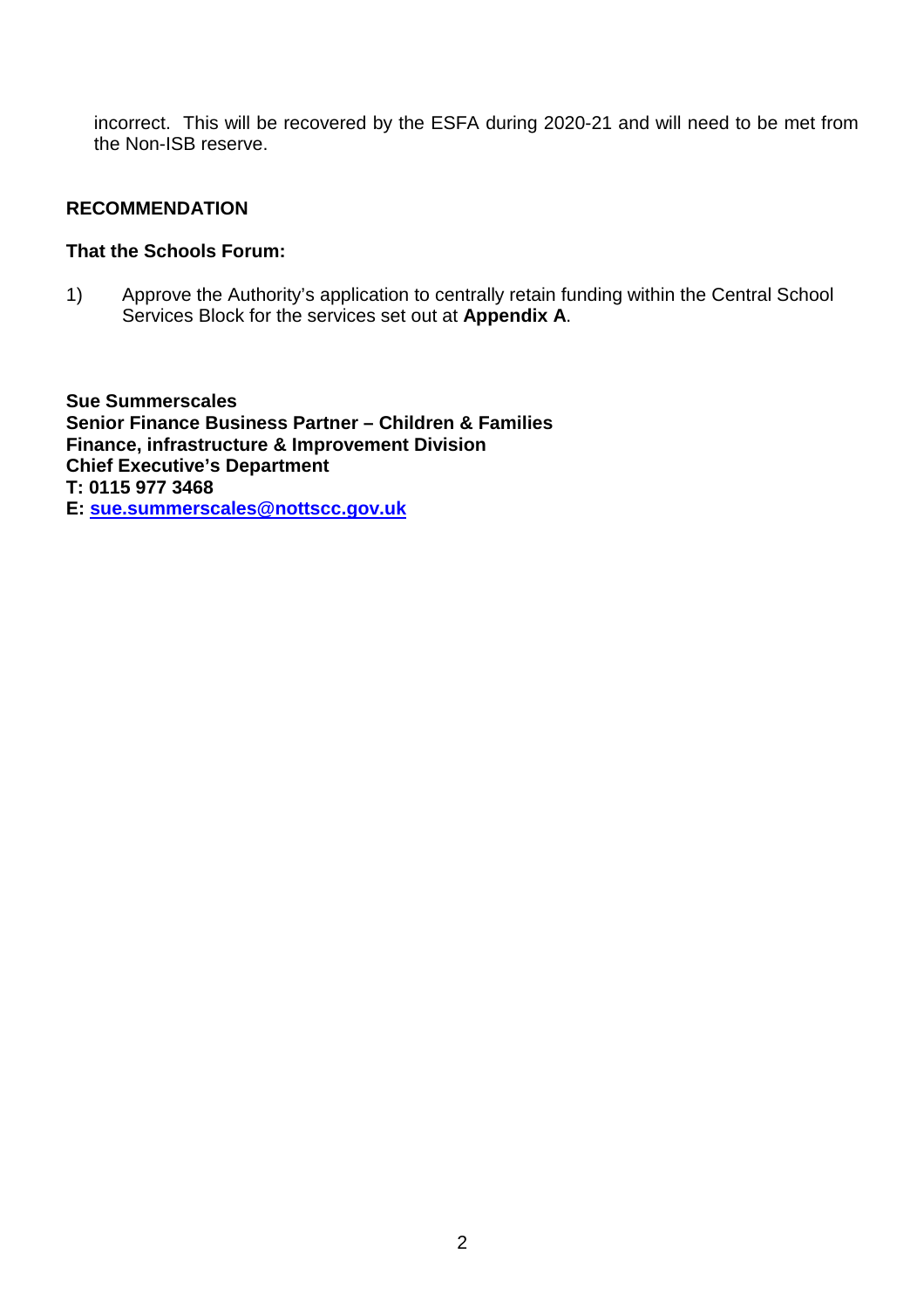incorrect. This will be recovered by the ESFA during 2020-21 and will need to be met from the Non-ISB reserve.

#### **RECOMMENDATION**

### **That the Schools Forum:**

1) Approve the Authority's application to centrally retain funding within the Central School Services Block for the services set out at **Appendix A**.

**Sue Summerscales Senior Finance Business Partner – Children & Families Finance, infrastructure & Improvement Division Chief Executive's Department T: 0115 977 3468 E: sue.summerscales@nottscc.gov.uk**